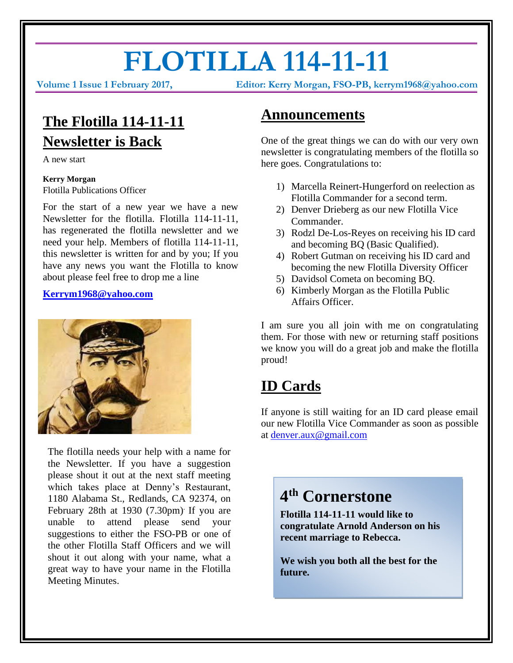# **FLOTILLA 114-11-11**

**Volume 1 Issue 1 February 2017, Editor: Kerry Morgan, FSO-PB, kerrym1968@yahoo.com**

# **The Flotilla 114-11-11 Newsletter is Back**

A new start

#### **Kerry Morgan** Flotilla Publications Officer

For the start of a new year we have a new Newsletter for the flotilla. Flotilla 114-11-11, has regenerated the flotilla newsletter and we need your help. Members of flotilla 114-11-11, this newsletter is written for and by you; If you have any news you want the Flotilla to know about please feel free to drop me a line

#### **[Kerrym1968@yahoo.com](mailto:Kerrym1968@yahoo.com)**



The flotilla needs your help with a name for the Newsletter. If you have a suggestion please shout it out at the next staff meeting which takes place at Denny's Restaurant, 1180 Alabama St., Redlands, CA 92374, on February 28th at 1930 (7.30pm). If you are unable to attend please send your suggestions to either the FSO-PB or one of the other Flotilla Staff Officers and we will shout it out along with your name, what a great way to have your name in the Flotilla Meeting Minutes.

### **Announcements**

One of the great things we can do with our very own newsletter is congratulating members of the flotilla so here goes. Congratulations to:

- 1) Marcella Reinert-Hungerford on reelection as Flotilla Commander for a second term.
- 2) Denver Drieberg as our new Flotilla Vice Commander.
- 3) Rodzl De-Los-Reyes on receiving his ID card and becoming BQ (Basic Qualified).
- 4) Robert Gutman on receiving his ID card and becoming the new Flotilla Diversity Officer
- 5) Davidsol Cometa on becoming BQ.
- 6) Kimberly Morgan as the Flotilla Public Affairs Officer.

I am sure you all join with me on congratulating them. For those with new or returning staff positions we know you will do a great job and make the flotilla proud!

## **ID Cards**

If anyone is still waiting for an ID card please email our new Flotilla Vice Commander as soon as possible at [denver.aux@gmail.com](mailto:denver.aux@gmail.com)

## **4 th Cornerstone**

**Flotilla 114-11-11 would like to congratulate Arnold Anderson on his recent marriage to Rebecca.**

**We wish you both all the best for the future.**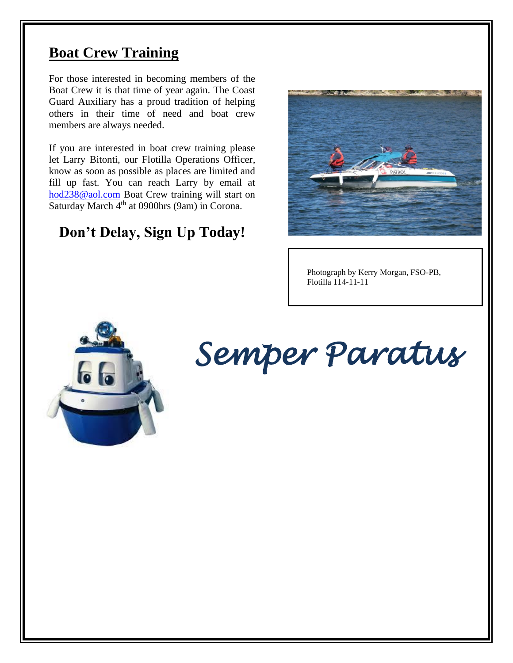## **Boat Crew Training**

For those interested in becoming members of the Boat Crew it is that time of year again. The Coast Guard Auxiliary has a proud tradition of helping others in their time of need and boat crew members are always needed.

If you are interested in boat crew training please let Larry Bitonti, our Flotilla Operations Officer, know as soon as possible as places are limited and fill up fast. You can reach Larry by email at [hod238@aol.com](mailto:hod238@aol.com) Boat Crew training will start on Saturday March  $4<sup>th</sup>$  at 0900hrs (9am) in Corona.

## **Don't Delay, Sign Up Today!**



Photograph by Kerry Morgan, FSO-PB, Flotilla 114-11-11



# *Semper Paratus*